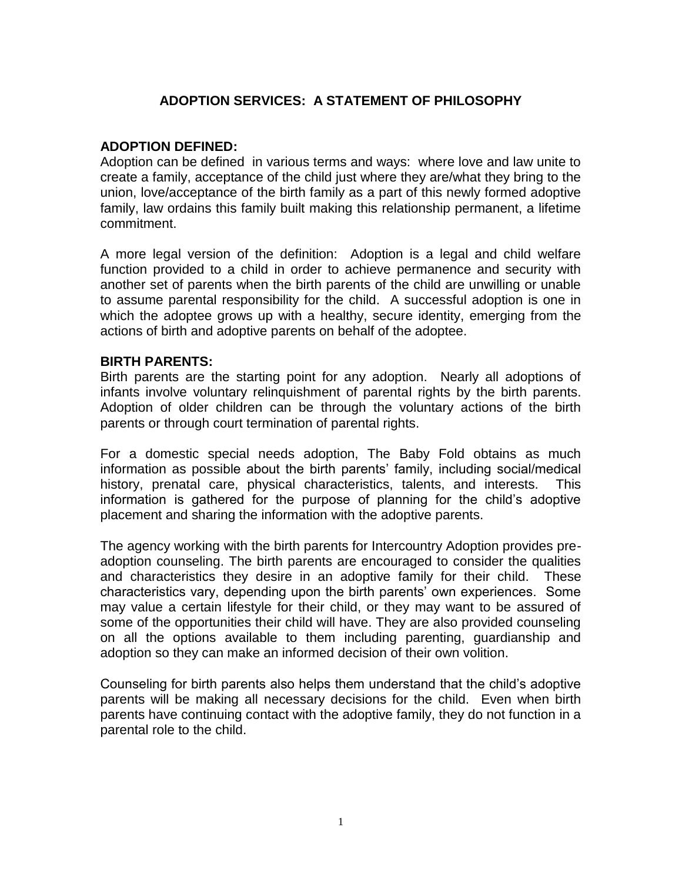# **ADOPTION SERVICES: A STATEMENT OF PHILOSOPHY**

## **ADOPTION DEFINED:**

Adoption can be defined in various terms and ways: where love and law unite to create a family, acceptance of the child just where they are/what they bring to the union, love/acceptance of the birth family as a part of this newly formed adoptive family, law ordains this family built making this relationship permanent, a lifetime commitment.

A more legal version of the definition: Adoption is a legal and child welfare function provided to a child in order to achieve permanence and security with another set of parents when the birth parents of the child are unwilling or unable to assume parental responsibility for the child. A successful adoption is one in which the adoptee grows up with a healthy, secure identity, emerging from the actions of birth and adoptive parents on behalf of the adoptee.

## **BIRTH PARENTS:**

Birth parents are the starting point for any adoption. Nearly all adoptions of infants involve voluntary relinquishment of parental rights by the birth parents. Adoption of older children can be through the voluntary actions of the birth parents or through court termination of parental rights.

For a domestic special needs adoption, The Baby Fold obtains as much information as possible about the birth parents' family, including social/medical history, prenatal care, physical characteristics, talents, and interests. This information is gathered for the purpose of planning for the child's adoptive placement and sharing the information with the adoptive parents.

The agency working with the birth parents for Intercountry Adoption provides preadoption counseling. The birth parents are encouraged to consider the qualities and characteristics they desire in an adoptive family for their child. These characteristics vary, depending upon the birth parents' own experiences. Some may value a certain lifestyle for their child, or they may want to be assured of some of the opportunities their child will have. They are also provided counseling on all the options available to them including parenting, guardianship and adoption so they can make an informed decision of their own volition.

Counseling for birth parents also helps them understand that the child's adoptive parents will be making all necessary decisions for the child. Even when birth parents have continuing contact with the adoptive family, they do not function in a parental role to the child.